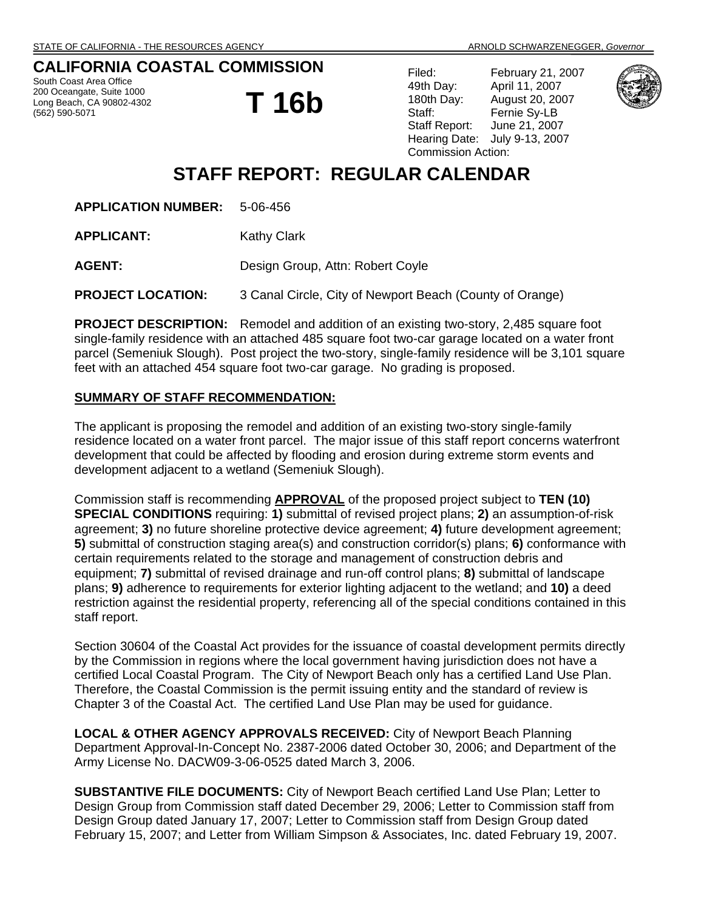# **CALIFORNIA COASTAL COMMISSION**

South Coast Area Office 200 Oceangate, Suite 1000 Long Beach, CA 90802-4302 (562) 590-5071

**T 16b**

| Filed:                    | February 21, 2007 |
|---------------------------|-------------------|
| 49th Day:                 | April 11, 2007    |
| 180th Day:                | August 20, 2007   |
| Staff:                    | Fernie Sy-LB      |
| Staff Report:             | June 21, 2007     |
| Hearing Date:             | July 9-13, 2007   |
| <b>Commission Action:</b> |                   |



# **STAFF REPORT: REGULAR CALENDAR**

**APPLICATION NUMBER:** 5-06-456

**APPLICANT:** Kathy Clark

AGENT: Design Group, Attn: Robert Coyle

**PROJECT LOCATION:** 3 Canal Circle, City of Newport Beach (County of Orange)

**PROJECT DESCRIPTION:** Remodel and addition of an existing two-story, 2,485 square foot single-family residence with an attached 485 square foot two-car garage located on a water front parcel (Semeniuk Slough). Post project the two-story, single-family residence will be 3,101 square feet with an attached 454 square foot two-car garage. No grading is proposed.

## **SUMMARY OF STAFF RECOMMENDATION:**

The applicant is proposing the remodel and addition of an existing two-story single-family residence located on a water front parcel. The major issue of this staff report concerns waterfront development that could be affected by flooding and erosion during extreme storm events and development adjacent to a wetland (Semeniuk Slough).

Commission staff is recommending **APPROVAL** of the proposed project subject to **TEN (10) SPECIAL CONDITIONS** requiring: **1)** submittal of revised project plans; **2)** an assumption-of-risk agreement; **3)** no future shoreline protective device agreement; **4)** future development agreement; **5)** submittal of construction staging area(s) and construction corridor(s) plans; **6)** conformance with certain requirements related to the storage and management of construction debris and equipment; **7)** submittal of revised drainage and run-off control plans; **8)** submittal of landscape plans; **9)** adherence to requirements for exterior lighting adjacent to the wetland; and **10)** a deed restriction against the residential property, referencing all of the special conditions contained in this staff report.

Section 30604 of the Coastal Act provides for the issuance of coastal development permits directly by the Commission in regions where the local government having jurisdiction does not have a certified Local Coastal Program. The City of Newport Beach only has a certified Land Use Plan. Therefore, the Coastal Commission is the permit issuing entity and the standard of review is Chapter 3 of the Coastal Act. The certified Land Use Plan may be used for guidance.

**LOCAL & OTHER AGENCY APPROVALS RECEIVED:** City of Newport Beach Planning Department Approval-In-Concept No. 2387-2006 dated October 30, 2006; and Department of the Army License No. DACW09-3-06-0525 dated March 3, 2006.

**SUBSTANTIVE FILE DOCUMENTS:** City of Newport Beach certified Land Use Plan; Letter to Design Group from Commission staff dated December 29, 2006; Letter to Commission staff from Design Group dated January 17, 2007; Letter to Commission staff from Design Group dated February 15, 2007; and Letter from William Simpson & Associates, Inc. dated February 19, 2007.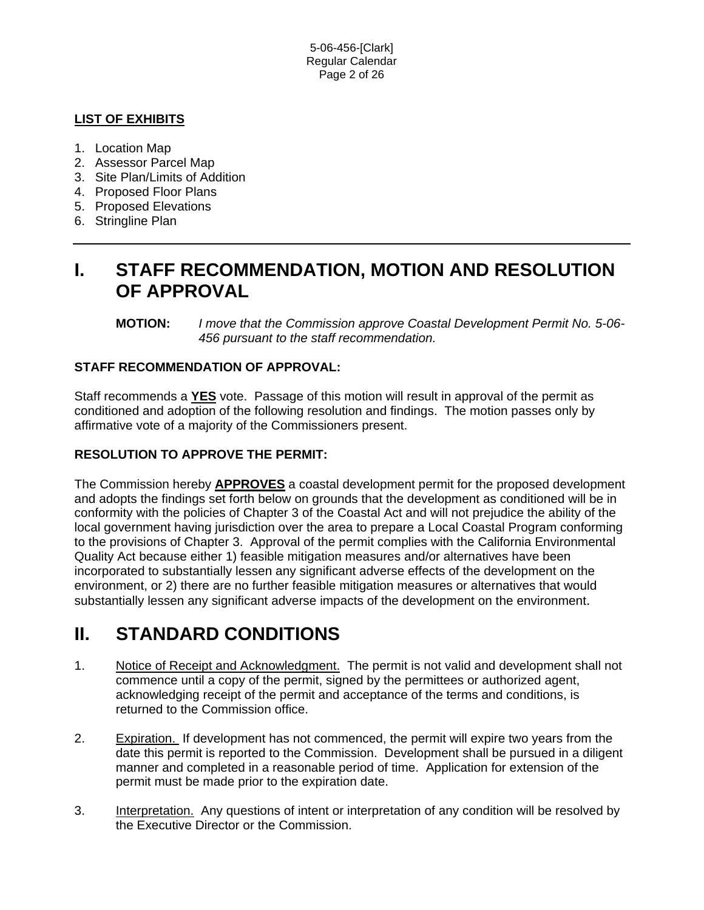5-06-456-[Clark] Regular Calendar Page 2 of 26

# **LIST OF EXHIBITS**

- 1. Location Map
- 2. Assessor Parcel Map
- 3. Site Plan/Limits of Addition
- 4. Proposed Floor Plans
- 5. Proposed Elevations
- 6. Stringline Plan

# **I. STAFF RECOMMENDATION, MOTION AND RESOLUTION OF APPROVAL**

**MOTION:** *I move that the Commission approve Coastal Development Permit No. 5-06- 456 pursuant to the staff recommendation.* 

## **STAFF RECOMMENDATION OF APPROVAL:**

Staff recommends a **YES** vote. Passage of this motion will result in approval of the permit as conditioned and adoption of the following resolution and findings. The motion passes only by affirmative vote of a majority of the Commissioners present.

## **RESOLUTION TO APPROVE THE PERMIT:**

The Commission hereby **APPROVES** a coastal development permit for the proposed development and adopts the findings set forth below on grounds that the development as conditioned will be in conformity with the policies of Chapter 3 of the Coastal Act and will not prejudice the ability of the local government having jurisdiction over the area to prepare a Local Coastal Program conforming to the provisions of Chapter 3. Approval of the permit complies with the California Environmental Quality Act because either 1) feasible mitigation measures and/or alternatives have been incorporated to substantially lessen any significant adverse effects of the development on the environment, or 2) there are no further feasible mitigation measures or alternatives that would substantially lessen any significant adverse impacts of the development on the environment.

# **II. STANDARD CONDITIONS**

- 1. Notice of Receipt and Acknowledgment. The permit is not valid and development shall not commence until a copy of the permit, signed by the permittees or authorized agent, acknowledging receipt of the permit and acceptance of the terms and conditions, is returned to the Commission office.
- 2. Expiration. If development has not commenced, the permit will expire two years from the date this permit is reported to the Commission. Development shall be pursued in a diligent manner and completed in a reasonable period of time. Application for extension of the permit must be made prior to the expiration date.
- 3. Interpretation. Any questions of intent or interpretation of any condition will be resolved by the Executive Director or the Commission.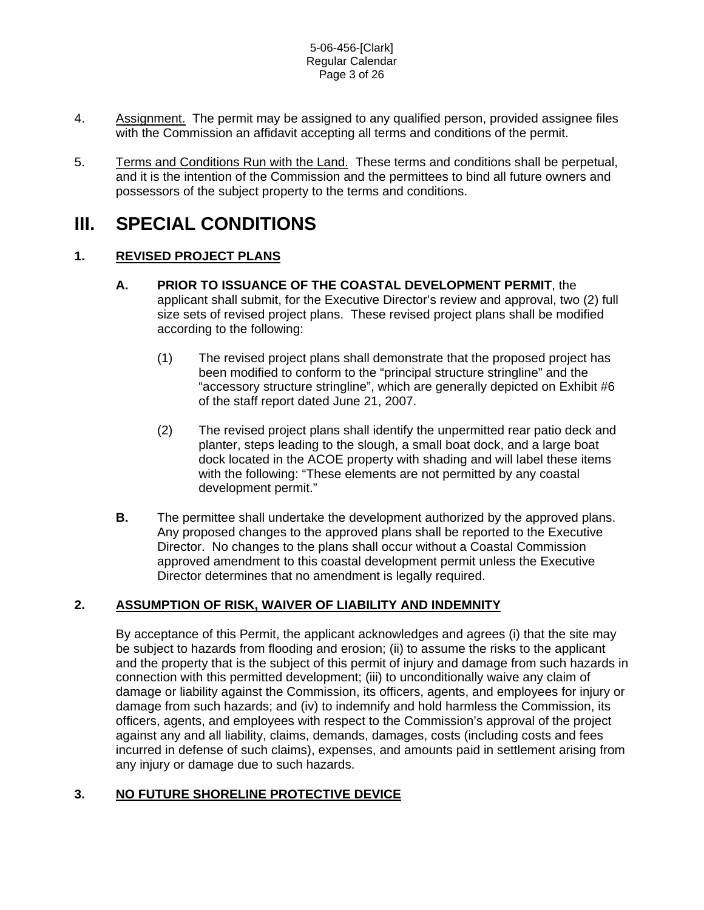#### 5-06-456-[Clark] Regular Calendar Page 3 of 26

- 4. Assignment. The permit may be assigned to any qualified person, provided assignee files with the Commission an affidavit accepting all terms and conditions of the permit.
- 5. Terms and Conditions Run with the Land. These terms and conditions shall be perpetual, and it is the intention of the Commission and the permittees to bind all future owners and possessors of the subject property to the terms and conditions.

# **III. SPECIAL CONDITIONS**

# **1. REVISED PROJECT PLANS**

- **A. PRIOR TO ISSUANCE OF THE COASTAL DEVELOPMENT PERMIT**, the applicant shall submit, for the Executive Director's review and approval, two (2) full size sets of revised project plans. These revised project plans shall be modified according to the following:
	- (1) The revised project plans shall demonstrate that the proposed project has been modified to conform to the "principal structure stringline" and the "accessory structure stringline", which are generally depicted on Exhibit #6 of the staff report dated June 21, 2007.
	- (2) The revised project plans shall identify the unpermitted rear patio deck and planter, steps leading to the slough, a small boat dock, and a large boat dock located in the ACOE property with shading and will label these items with the following: "These elements are not permitted by any coastal development permit."
- **B.** The permittee shall undertake the development authorized by the approved plans. Any proposed changes to the approved plans shall be reported to the Executive Director. No changes to the plans shall occur without a Coastal Commission approved amendment to this coastal development permit unless the Executive Director determines that no amendment is legally required.

# **2. ASSUMPTION OF RISK, WAIVER OF LIABILITY AND INDEMNITY**

By acceptance of this Permit, the applicant acknowledges and agrees (i) that the site may be subject to hazards from flooding and erosion; (ii) to assume the risks to the applicant and the property that is the subject of this permit of injury and damage from such hazards in connection with this permitted development; (iii) to unconditionally waive any claim of damage or liability against the Commission, its officers, agents, and employees for injury or damage from such hazards; and (iv) to indemnify and hold harmless the Commission, its officers, agents, and employees with respect to the Commission's approval of the project against any and all liability, claims, demands, damages, costs (including costs and fees incurred in defense of such claims), expenses, and amounts paid in settlement arising from any injury or damage due to such hazards.

# **3. NO FUTURE SHORELINE PROTECTIVE DEVICE**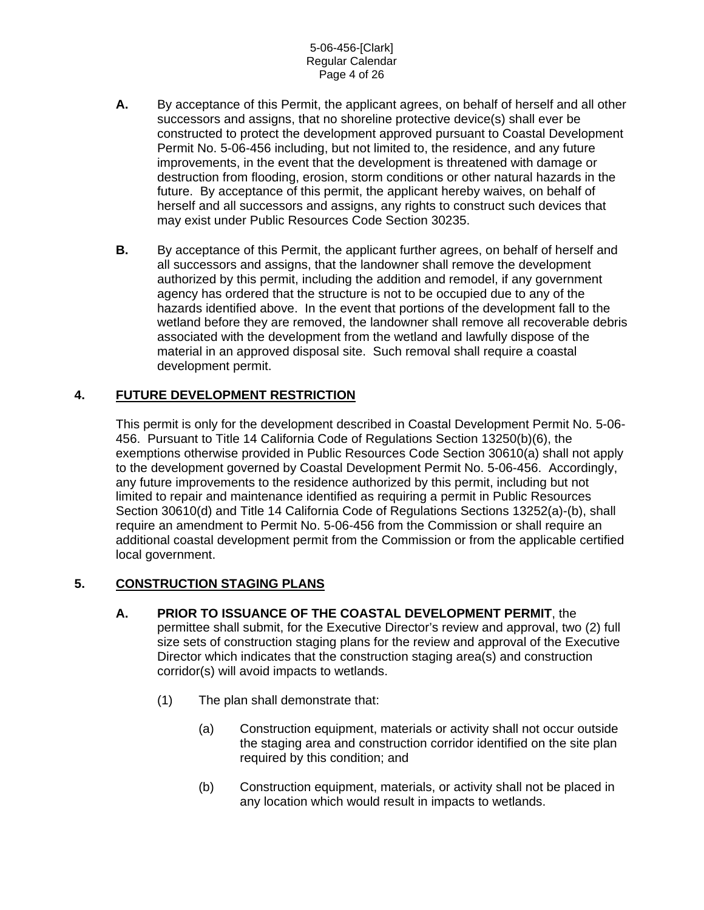- **A.** By acceptance of this Permit, the applicant agrees, on behalf of herself and all other successors and assigns, that no shoreline protective device(s) shall ever be constructed to protect the development approved pursuant to Coastal Development Permit No. 5-06-456 including, but not limited to, the residence, and any future improvements, in the event that the development is threatened with damage or destruction from flooding, erosion, storm conditions or other natural hazards in the future. By acceptance of this permit, the applicant hereby waives, on behalf of herself and all successors and assigns, any rights to construct such devices that may exist under Public Resources Code Section 30235.
- **B.** By acceptance of this Permit, the applicant further agrees, on behalf of herself and all successors and assigns, that the landowner shall remove the development authorized by this permit, including the addition and remodel, if any government agency has ordered that the structure is not to be occupied due to any of the hazards identified above. In the event that portions of the development fall to the wetland before they are removed, the landowner shall remove all recoverable debris associated with the development from the wetland and lawfully dispose of the material in an approved disposal site. Such removal shall require a coastal development permit.

# **4. FUTURE DEVELOPMENT RESTRICTION**

This permit is only for the development described in Coastal Development Permit No. 5-06- 456. Pursuant to Title 14 California Code of Regulations Section 13250(b)(6), the exemptions otherwise provided in Public Resources Code Section 30610(a) shall not apply to the development governed by Coastal Development Permit No. 5-06-456. Accordingly, any future improvements to the residence authorized by this permit, including but not limited to repair and maintenance identified as requiring a permit in Public Resources Section 30610(d) and Title 14 California Code of Regulations Sections 13252(a)-(b), shall require an amendment to Permit No. 5-06-456 from the Commission or shall require an additional coastal development permit from the Commission or from the applicable certified local government.

## **5. CONSTRUCTION STAGING PLANS**

- **A. PRIOR TO ISSUANCE OF THE COASTAL DEVELOPMENT PERMIT**, the permittee shall submit, for the Executive Director's review and approval, two (2) full size sets of construction staging plans for the review and approval of the Executive Director which indicates that the construction staging area(s) and construction corridor(s) will avoid impacts to wetlands.
	- (1) The plan shall demonstrate that:
		- (a) Construction equipment, materials or activity shall not occur outside the staging area and construction corridor identified on the site plan required by this condition; and
		- (b) Construction equipment, materials, or activity shall not be placed in any location which would result in impacts to wetlands.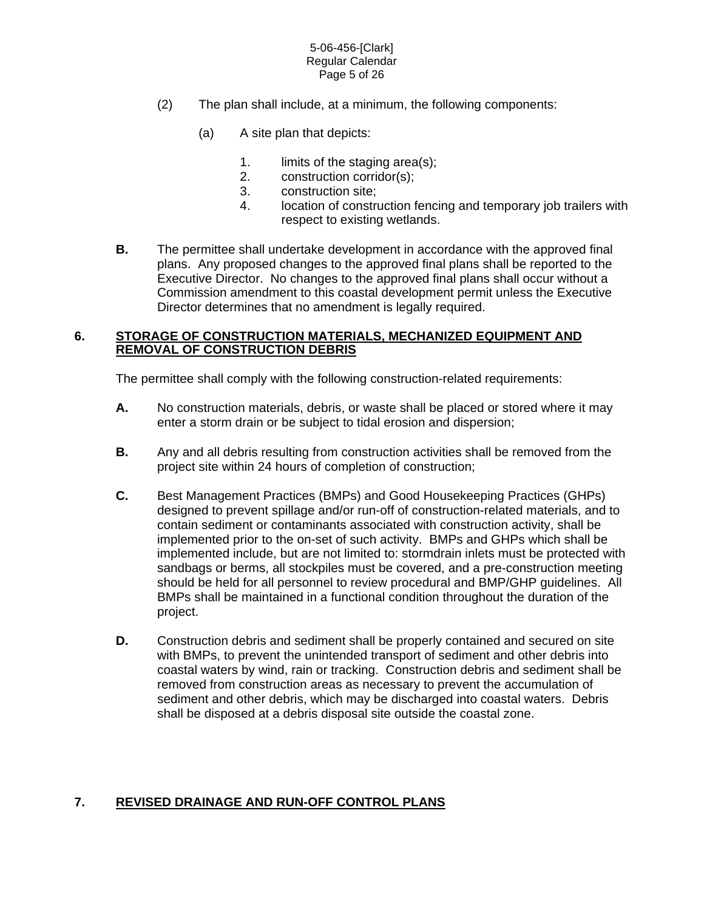#### 5-06-456-[Clark] Regular Calendar Page 5 of 26

- (2) The plan shall include, at a minimum, the following components:
	- (a) A site plan that depicts:
		- 1. limits of the staging area(s);
		- 2. construction corridor(s);
		- 3. construction site;
		- 4. location of construction fencing and temporary job trailers with respect to existing wetlands.
- **B.** The permittee shall undertake development in accordance with the approved final plans. Any proposed changes to the approved final plans shall be reported to the Executive Director. No changes to the approved final plans shall occur without a Commission amendment to this coastal development permit unless the Executive Director determines that no amendment is legally required.

## **6. STORAGE OF CONSTRUCTION MATERIALS, MECHANIZED EQUIPMENT AND REMOVAL OF CONSTRUCTION DEBRIS**

The permittee shall comply with the following construction-related requirements:

- **A.** No construction materials, debris, or waste shall be placed or stored where it may enter a storm drain or be subject to tidal erosion and dispersion;
- **B.** Any and all debris resulting from construction activities shall be removed from the project site within 24 hours of completion of construction;
- **C.** Best Management Practices (BMPs) and Good Housekeeping Practices (GHPs) designed to prevent spillage and/or run-off of construction-related materials, and to contain sediment or contaminants associated with construction activity, shall be implemented prior to the on-set of such activity. BMPs and GHPs which shall be implemented include, but are not limited to: stormdrain inlets must be protected with sandbags or berms, all stockpiles must be covered, and a pre-construction meeting should be held for all personnel to review procedural and BMP/GHP guidelines. All BMPs shall be maintained in a functional condition throughout the duration of the project.
- **D.** Construction debris and sediment shall be properly contained and secured on site with BMPs, to prevent the unintended transport of sediment and other debris into coastal waters by wind, rain or tracking. Construction debris and sediment shall be removed from construction areas as necessary to prevent the accumulation of sediment and other debris, which may be discharged into coastal waters. Debris shall be disposed at a debris disposal site outside the coastal zone.

# **7. REVISED DRAINAGE AND RUN-OFF CONTROL PLANS**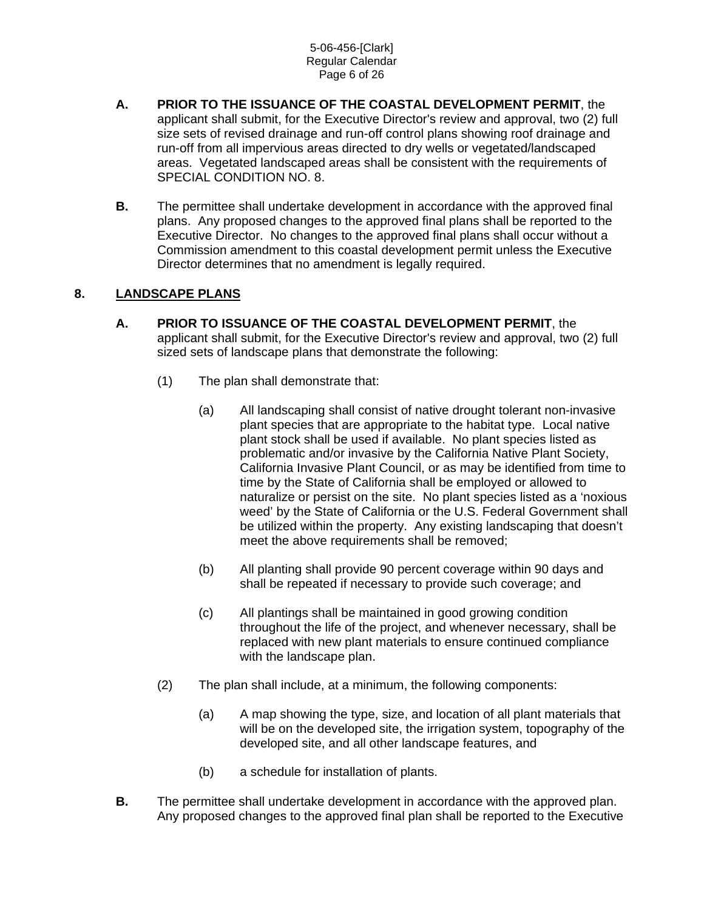#### 5-06-456-[Clark] Regular Calendar Page 6 of 26

- **A. PRIOR TO THE ISSUANCE OF THE COASTAL DEVELOPMENT PERMIT**, the applicant shall submit, for the Executive Director's review and approval, two (2) full size sets of revised drainage and run-off control plans showing roof drainage and run-off from all impervious areas directed to dry wells or vegetated/landscaped areas. Vegetated landscaped areas shall be consistent with the requirements of SPECIAL CONDITION NO. 8.
- **B.** The permittee shall undertake development in accordance with the approved final plans. Any proposed changes to the approved final plans shall be reported to the Executive Director. No changes to the approved final plans shall occur without a Commission amendment to this coastal development permit unless the Executive Director determines that no amendment is legally required.

# **8. LANDSCAPE PLANS**

- **A. PRIOR TO ISSUANCE OF THE COASTAL DEVELOPMENT PERMIT**, the applicant shall submit, for the Executive Director's review and approval, two (2) full sized sets of landscape plans that demonstrate the following:
	- (1) The plan shall demonstrate that:
		- (a) All landscaping shall consist of native drought tolerant non-invasive plant species that are appropriate to the habitat type. Local native plant stock shall be used if available. No plant species listed as problematic and/or invasive by the California Native Plant Society, California Invasive Plant Council, or as may be identified from time to time by the State of California shall be employed or allowed to naturalize or persist on the site. No plant species listed as a 'noxious weed' by the State of California or the U.S. Federal Government shall be utilized within the property. Any existing landscaping that doesn't meet the above requirements shall be removed;
		- (b) All planting shall provide 90 percent coverage within 90 days and shall be repeated if necessary to provide such coverage; and
		- (c) All plantings shall be maintained in good growing condition throughout the life of the project, and whenever necessary, shall be replaced with new plant materials to ensure continued compliance with the landscape plan.
	- (2) The plan shall include, at a minimum, the following components:
		- (a) A map showing the type, size, and location of all plant materials that will be on the developed site, the irrigation system, topography of the developed site, and all other landscape features, and
		- (b) a schedule for installation of plants.
- **B.** The permittee shall undertake development in accordance with the approved plan. Any proposed changes to the approved final plan shall be reported to the Executive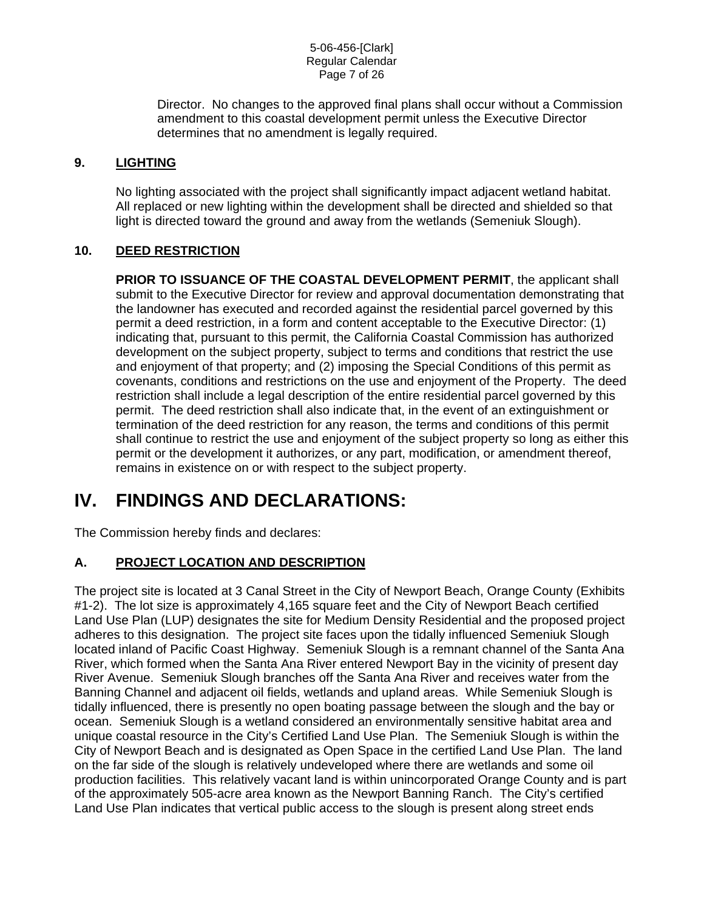Director. No changes to the approved final plans shall occur without a Commission amendment to this coastal development permit unless the Executive Director determines that no amendment is legally required.

## **9. LIGHTING**

No lighting associated with the project shall significantly impact adjacent wetland habitat. All replaced or new lighting within the development shall be directed and shielded so that light is directed toward the ground and away from the wetlands (Semeniuk Slough).

# **10. DEED RESTRICTION**

**PRIOR TO ISSUANCE OF THE COASTAL DEVELOPMENT PERMIT**, the applicant shall submit to the Executive Director for review and approval documentation demonstrating that the landowner has executed and recorded against the residential parcel governed by this permit a deed restriction, in a form and content acceptable to the Executive Director: (1) indicating that, pursuant to this permit, the California Coastal Commission has authorized development on the subject property, subject to terms and conditions that restrict the use and enjoyment of that property; and (2) imposing the Special Conditions of this permit as covenants, conditions and restrictions on the use and enjoyment of the Property. The deed restriction shall include a legal description of the entire residential parcel governed by this permit. The deed restriction shall also indicate that, in the event of an extinguishment or termination of the deed restriction for any reason, the terms and conditions of this permit shall continue to restrict the use and enjoyment of the subject property so long as either this permit or the development it authorizes, or any part, modification, or amendment thereof, remains in existence on or with respect to the subject property.

# **IV. FINDINGS AND DECLARATIONS:**

The Commission hereby finds and declares:

# **A. PROJECT LOCATION AND DESCRIPTION**

The project site is located at 3 Canal Street in the City of Newport Beach, Orange County (Exhibits #1-2). The lot size is approximately 4,165 square feet and the City of Newport Beach certified Land Use Plan (LUP) designates the site for Medium Density Residential and the proposed project adheres to this designation. The project site faces upon the tidally influenced Semeniuk Slough located inland of Pacific Coast Highway. Semeniuk Slough is a remnant channel of the Santa Ana River, which formed when the Santa Ana River entered Newport Bay in the vicinity of present day River Avenue. Semeniuk Slough branches off the Santa Ana River and receives water from the Banning Channel and adjacent oil fields, wetlands and upland areas. While Semeniuk Slough is tidally influenced, there is presently no open boating passage between the slough and the bay or ocean. Semeniuk Slough is a wetland considered an environmentally sensitive habitat area and unique coastal resource in the City's Certified Land Use Plan. The Semeniuk Slough is within the City of Newport Beach and is designated as Open Space in the certified Land Use Plan. The land on the far side of the slough is relatively undeveloped where there are wetlands and some oil production facilities. This relatively vacant land is within unincorporated Orange County and is part of the approximately 505-acre area known as the Newport Banning Ranch. The City's certified Land Use Plan indicates that vertical public access to the slough is present along street ends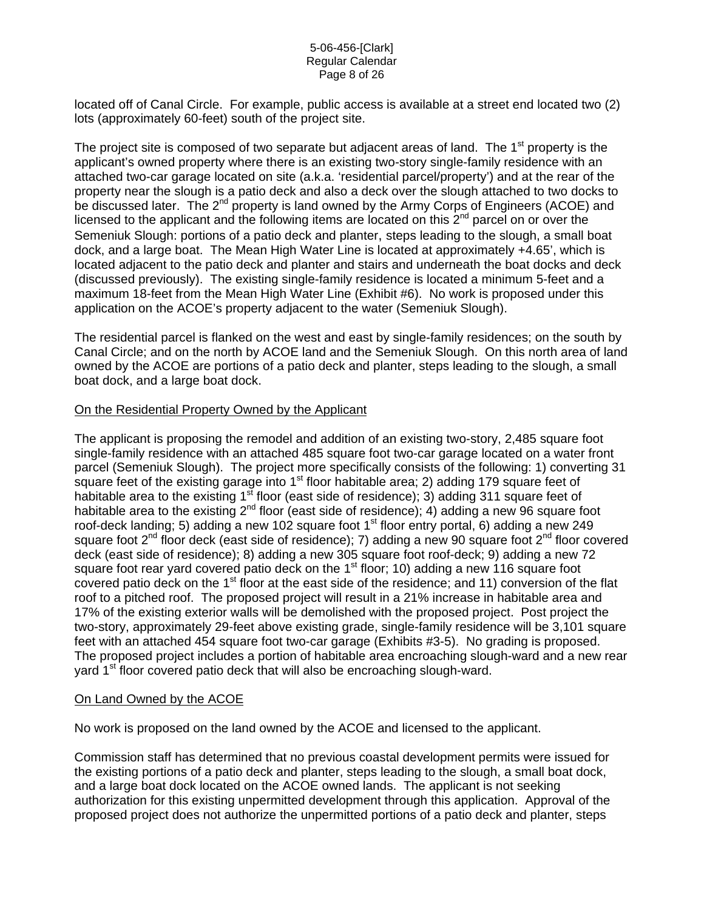#### 5-06-456-[Clark] Regular Calendar Page 8 of 26

located off of Canal Circle. For example, public access is available at a street end located two (2) lots (approximately 60-feet) south of the project site.

The project site is composed of two separate but adjacent areas of land. The 1<sup>st</sup> property is the applicant's owned property where there is an existing two-story single-family residence with an attached two-car garage located on site (a.k.a. 'residential parcel/property') and at the rear of the property near the slough is a patio deck and also a deck over the slough attached to two docks to be discussed later. The 2<sup>nd</sup> property is land owned by the Army Corps of Engineers (ACOE) and licensed to the applicant and the following items are located on this  $2<sup>nd</sup>$  parcel on or over the Semeniuk Slough: portions of a patio deck and planter, steps leading to the slough, a small boat dock, and a large boat. The Mean High Water Line is located at approximately +4.65', which is located adjacent to the patio deck and planter and stairs and underneath the boat docks and deck (discussed previously). The existing single-family residence is located a minimum 5-feet and a maximum 18-feet from the Mean High Water Line (Exhibit #6). No work is proposed under this application on the ACOE's property adjacent to the water (Semeniuk Slough).

The residential parcel is flanked on the west and east by single-family residences; on the south by Canal Circle; and on the north by ACOE land and the Semeniuk Slough. On this north area of land owned by the ACOE are portions of a patio deck and planter, steps leading to the slough, a small boat dock, and a large boat dock.

## On the Residential Property Owned by the Applicant

The applicant is proposing the remodel and addition of an existing two-story, 2,485 square foot single-family residence with an attached 485 square foot two-car garage located on a water front parcel (Semeniuk Slough). The project more specifically consists of the following: 1) converting 31 square feet of the existing garage into  $1<sup>st</sup>$  floor habitable area; 2) adding 179 square feet of habitable area to the existing  $1<sup>st</sup>$  floor (east side of residence); 3) adding 311 square feet of habitable area to the existing  $2^{nd}$  floor (east side of residence); 4) adding a new 96 square foot roof-deck landing; 5) adding a new 102 square foot  $1<sup>st</sup>$  floor entry portal, 6) adding a new 249 square foot  $2^{nd}$  floor deck (east side of residence); 7) adding a new 90 square foot  $2^{nd}$  floor covered deck (east side of residence); 8) adding a new 305 square foot roof-deck; 9) adding a new 72 square foot rear yard covered patio deck on the  $1<sup>st</sup>$  floor; 10) adding a new 116 square foot covered patio deck on the 1<sup>st</sup> floor at the east side of the residence; and 11) conversion of the flat roof to a pitched roof. The proposed project will result in a 21% increase in habitable area and 17% of the existing exterior walls will be demolished with the proposed project. Post project the two-story, approximately 29-feet above existing grade, single-family residence will be 3,101 square feet with an attached 454 square foot two-car garage (Exhibits #3-5). No grading is proposed. The proposed project includes a portion of habitable area encroaching slough-ward and a new rear yard 1<sup>st</sup> floor covered patio deck that will also be encroaching slough-ward.

### On Land Owned by the ACOE

No work is proposed on the land owned by the ACOE and licensed to the applicant.

Commission staff has determined that no previous coastal development permits were issued for the existing portions of a patio deck and planter, steps leading to the slough, a small boat dock, and a large boat dock located on the ACOE owned lands. The applicant is not seeking authorization for this existing unpermitted development through this application. Approval of the proposed project does not authorize the unpermitted portions of a patio deck and planter, steps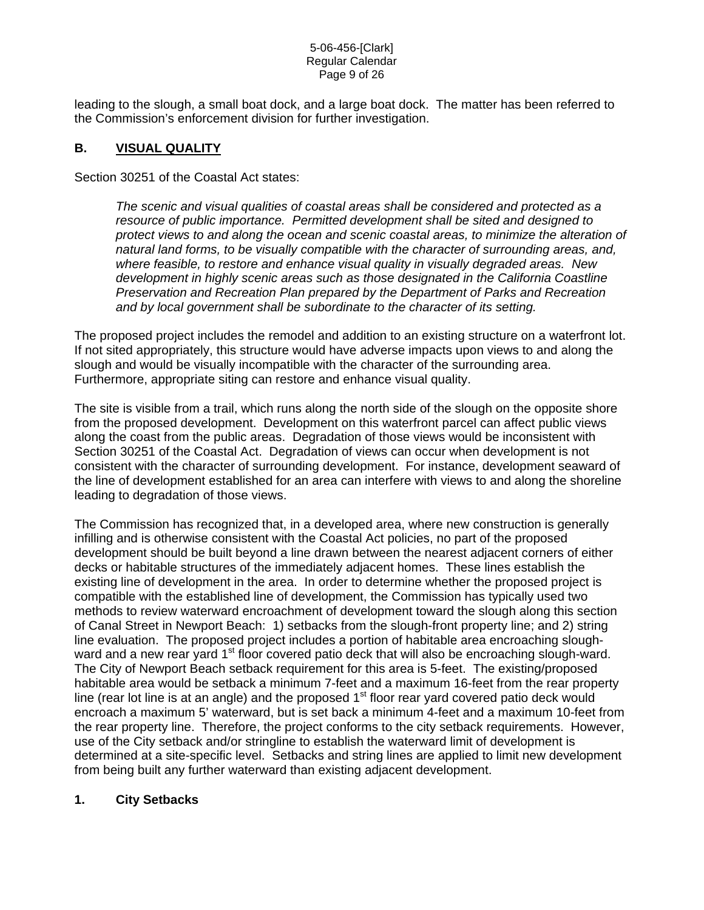#### 5-06-456-[Clark] Regular Calendar Page 9 of 26

leading to the slough, a small boat dock, and a large boat dock. The matter has been referred to the Commission's enforcement division for further investigation.

# **B. VISUAL QUALITY**

Section 30251 of the Coastal Act states:

*The scenic and visual qualities of coastal areas shall be considered and protected as a resource of public importance. Permitted development shall be sited and designed to protect views to and along the ocean and scenic coastal areas, to minimize the alteration of natural land forms, to be visually compatible with the character of surrounding areas, and, where feasible, to restore and enhance visual quality in visually degraded areas. New development in highly scenic areas such as those designated in the California Coastline Preservation and Recreation Plan prepared by the Department of Parks and Recreation and by local government shall be subordinate to the character of its setting.* 

The proposed project includes the remodel and addition to an existing structure on a waterfront lot. If not sited appropriately, this structure would have adverse impacts upon views to and along the slough and would be visually incompatible with the character of the surrounding area. Furthermore, appropriate siting can restore and enhance visual quality.

The site is visible from a trail, which runs along the north side of the slough on the opposite shore from the proposed development. Development on this waterfront parcel can affect public views along the coast from the public areas. Degradation of those views would be inconsistent with Section 30251 of the Coastal Act. Degradation of views can occur when development is not consistent with the character of surrounding development. For instance, development seaward of the line of development established for an area can interfere with views to and along the shoreline leading to degradation of those views.

The Commission has recognized that, in a developed area, where new construction is generally infilling and is otherwise consistent with the Coastal Act policies, no part of the proposed development should be built beyond a line drawn between the nearest adjacent corners of either decks or habitable structures of the immediately adjacent homes. These lines establish the existing line of development in the area. In order to determine whether the proposed project is compatible with the established line of development, the Commission has typically used two methods to review waterward encroachment of development toward the slough along this section of Canal Street in Newport Beach: 1) setbacks from the slough-front property line; and 2) string line evaluation. The proposed project includes a portion of habitable area encroaching sloughward and a new rear yard 1<sup>st</sup> floor covered patio deck that will also be encroaching slough-ward. The City of Newport Beach setback requirement for this area is 5-feet. The existing/proposed habitable area would be setback a minimum 7-feet and a maximum 16-feet from the rear property line (rear lot line is at an angle) and the proposed 1<sup>st</sup> floor rear yard covered patio deck would encroach a maximum 5' waterward, but is set back a minimum 4-feet and a maximum 10-feet from the rear property line. Therefore, the project conforms to the city setback requirements. However, use of the City setback and/or stringline to establish the waterward limit of development is determined at a site-specific level. Setbacks and string lines are applied to limit new development from being built any further waterward than existing adjacent development.

# **1. City Setbacks**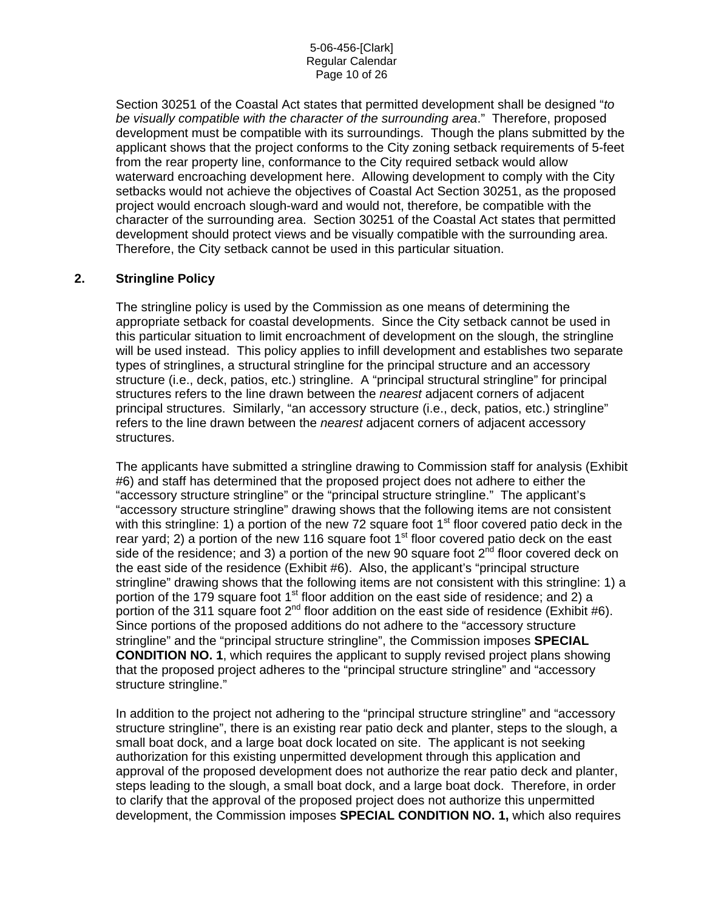#### 5-06-456-[Clark] Regular Calendar Page 10 of 26

Section 30251 of the Coastal Act states that permitted development shall be designed "*to be visually compatible with the character of the surrounding area*." Therefore, proposed development must be compatible with its surroundings. Though the plans submitted by the applicant shows that the project conforms to the City zoning setback requirements of 5-feet from the rear property line, conformance to the City required setback would allow waterward encroaching development here. Allowing development to comply with the City setbacks would not achieve the objectives of Coastal Act Section 30251, as the proposed project would encroach slough-ward and would not, therefore, be compatible with the character of the surrounding area. Section 30251 of the Coastal Act states that permitted development should protect views and be visually compatible with the surrounding area. Therefore, the City setback cannot be used in this particular situation.

## **2. Stringline Policy**

The stringline policy is used by the Commission as one means of determining the appropriate setback for coastal developments. Since the City setback cannot be used in this particular situation to limit encroachment of development on the slough, the stringline will be used instead. This policy applies to infill development and establishes two separate types of stringlines, a structural stringline for the principal structure and an accessory structure (i.e., deck, patios, etc.) stringline. A "principal structural stringline" for principal structures refers to the line drawn between the *nearest* adjacent corners of adjacent principal structures. Similarly, "an accessory structure (i.e., deck, patios, etc.) stringline" refers to the line drawn between the *nearest* adjacent corners of adjacent accessory structures.

The applicants have submitted a stringline drawing to Commission staff for analysis (Exhibit #6) and staff has determined that the proposed project does not adhere to either the "accessory structure stringline" or the "principal structure stringline." The applicant's "accessory structure stringline" drawing shows that the following items are not consistent with this stringline: 1) a portion of the new 72 square foot  $1<sup>st</sup>$  floor covered patio deck in the rear yard; 2) a portion of the new 116 square foot  $1<sup>st</sup>$  floor covered patio deck on the east side of the residence; and 3) a portion of the new 90 square foot  $2^{nd}$  floor covered deck on the east side of the residence (Exhibit #6). Also, the applicant's "principal structure stringline" drawing shows that the following items are not consistent with this stringline: 1) a portion of the 179 square foot 1<sup>st</sup> floor addition on the east side of residence; and 2) a portion of the 311 square foot  $2^{nd}$  floor addition on the east side of residence (Exhibit #6). Since portions of the proposed additions do not adhere to the "accessory structure stringline" and the "principal structure stringline", the Commission imposes **SPECIAL CONDITION NO. 1**, which requires the applicant to supply revised project plans showing that the proposed project adheres to the "principal structure stringline" and "accessory structure stringline."

In addition to the project not adhering to the "principal structure stringline" and "accessory structure stringline", there is an existing rear patio deck and planter, steps to the slough, a small boat dock, and a large boat dock located on site. The applicant is not seeking authorization for this existing unpermitted development through this application and approval of the proposed development does not authorize the rear patio deck and planter, steps leading to the slough, a small boat dock, and a large boat dock. Therefore, in order to clarify that the approval of the proposed project does not authorize this unpermitted development, the Commission imposes **SPECIAL CONDITION NO. 1,** which also requires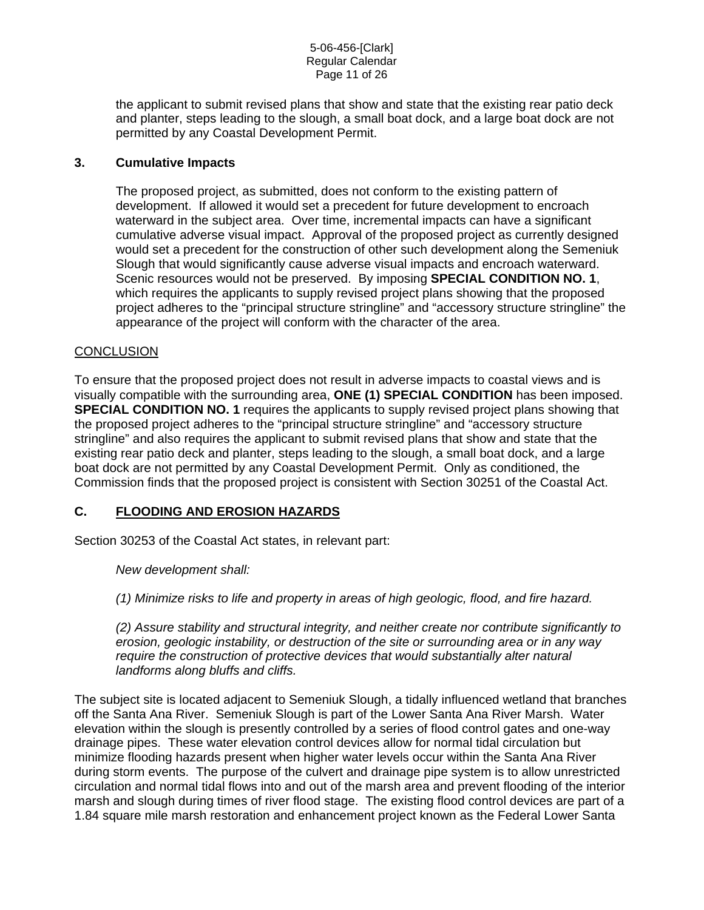the applicant to submit revised plans that show and state that the existing rear patio deck and planter, steps leading to the slough, a small boat dock, and a large boat dock are not permitted by any Coastal Development Permit.

## **3. Cumulative Impacts**

The proposed project, as submitted, does not conform to the existing pattern of development. If allowed it would set a precedent for future development to encroach waterward in the subject area. Over time, incremental impacts can have a significant cumulative adverse visual impact. Approval of the proposed project as currently designed would set a precedent for the construction of other such development along the Semeniuk Slough that would significantly cause adverse visual impacts and encroach waterward. Scenic resources would not be preserved. By imposing **SPECIAL CONDITION NO. 1**, which requires the applicants to supply revised project plans showing that the proposed project adheres to the "principal structure stringline" and "accessory structure stringline" the appearance of the project will conform with the character of the area.

### **CONCLUSION**

To ensure that the proposed project does not result in adverse impacts to coastal views and is visually compatible with the surrounding area, **ONE (1) SPECIAL CONDITION** has been imposed. **SPECIAL CONDITION NO. 1** requires the applicants to supply revised project plans showing that the proposed project adheres to the "principal structure stringline" and "accessory structure stringline" and also requires the applicant to submit revised plans that show and state that the existing rear patio deck and planter, steps leading to the slough, a small boat dock, and a large boat dock are not permitted by any Coastal Development Permit. Only as conditioned, the Commission finds that the proposed project is consistent with Section 30251 of the Coastal Act.

## **C. FLOODING AND EROSION HAZARDS**

Section 30253 of the Coastal Act states, in relevant part:

*New development shall:* 

*(1) Minimize risks to life and property in areas of high geologic, flood, and fire hazard.* 

*(2) Assure stability and structural integrity, and neither create nor contribute significantly to erosion, geologic instability, or destruction of the site or surrounding area or in any way require the construction of protective devices that would substantially alter natural landforms along bluffs and cliffs.* 

The subject site is located adjacent to Semeniuk Slough, a tidally influenced wetland that branches off the Santa Ana River. Semeniuk Slough is part of the Lower Santa Ana River Marsh. Water elevation within the slough is presently controlled by a series of flood control gates and one-way drainage pipes. These water elevation control devices allow for normal tidal circulation but minimize flooding hazards present when higher water levels occur within the Santa Ana River during storm events. The purpose of the culvert and drainage pipe system is to allow unrestricted circulation and normal tidal flows into and out of the marsh area and prevent flooding of the interior marsh and slough during times of river flood stage. The existing flood control devices are part of a 1.84 square mile marsh restoration and enhancement project known as the Federal Lower Santa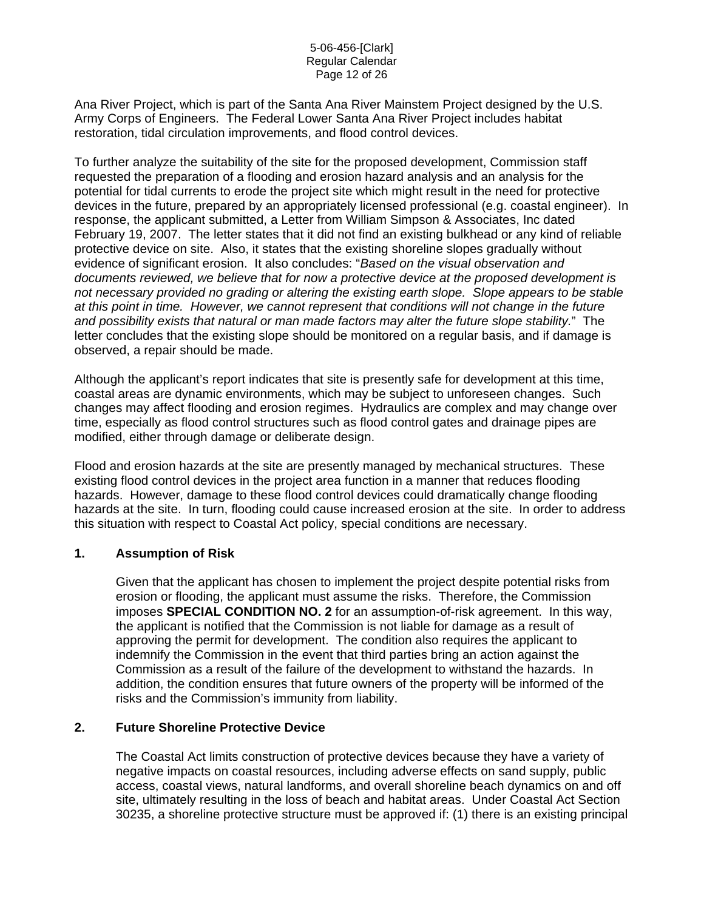#### 5-06-456-[Clark] Regular Calendar Page 12 of 26

Ana River Project, which is part of the Santa Ana River Mainstem Project designed by the U.S. Army Corps of Engineers. The Federal Lower Santa Ana River Project includes habitat restoration, tidal circulation improvements, and flood control devices.

To further analyze the suitability of the site for the proposed development, Commission staff requested the preparation of a flooding and erosion hazard analysis and an analysis for the potential for tidal currents to erode the project site which might result in the need for protective devices in the future, prepared by an appropriately licensed professional (e.g. coastal engineer). In response, the applicant submitted, a Letter from William Simpson & Associates, Inc dated February 19, 2007. The letter states that it did not find an existing bulkhead or any kind of reliable protective device on site. Also, it states that the existing shoreline slopes gradually without evidence of significant erosion. It also concludes: "*Based on the visual observation and documents reviewed, we believe that for now a protective device at the proposed development is not necessary provided no grading or altering the existing earth slope. Slope appears to be stable at this point in time. However, we cannot represent that conditions will not change in the future and possibility exists that natural or man made factors may alter the future slope stability.*" The letter concludes that the existing slope should be monitored on a regular basis, and if damage is observed, a repair should be made.

Although the applicant's report indicates that site is presently safe for development at this time, coastal areas are dynamic environments, which may be subject to unforeseen changes. Such changes may affect flooding and erosion regimes. Hydraulics are complex and may change over time, especially as flood control structures such as flood control gates and drainage pipes are modified, either through damage or deliberate design.

Flood and erosion hazards at the site are presently managed by mechanical structures. These existing flood control devices in the project area function in a manner that reduces flooding hazards. However, damage to these flood control devices could dramatically change flooding hazards at the site. In turn, flooding could cause increased erosion at the site. In order to address this situation with respect to Coastal Act policy, special conditions are necessary.

## **1. Assumption of Risk**

Given that the applicant has chosen to implement the project despite potential risks from erosion or flooding, the applicant must assume the risks. Therefore, the Commission imposes **SPECIAL CONDITION NO. 2** for an assumption-of-risk agreement. In this way, the applicant is notified that the Commission is not liable for damage as a result of approving the permit for development. The condition also requires the applicant to indemnify the Commission in the event that third parties bring an action against the Commission as a result of the failure of the development to withstand the hazards. In addition, the condition ensures that future owners of the property will be informed of the risks and the Commission's immunity from liability.

## **2. Future Shoreline Protective Device**

The Coastal Act limits construction of protective devices because they have a variety of negative impacts on coastal resources, including adverse effects on sand supply, public access, coastal views, natural landforms, and overall shoreline beach dynamics on and off site, ultimately resulting in the loss of beach and habitat areas. Under Coastal Act Section 30235, a shoreline protective structure must be approved if: (1) there is an existing principal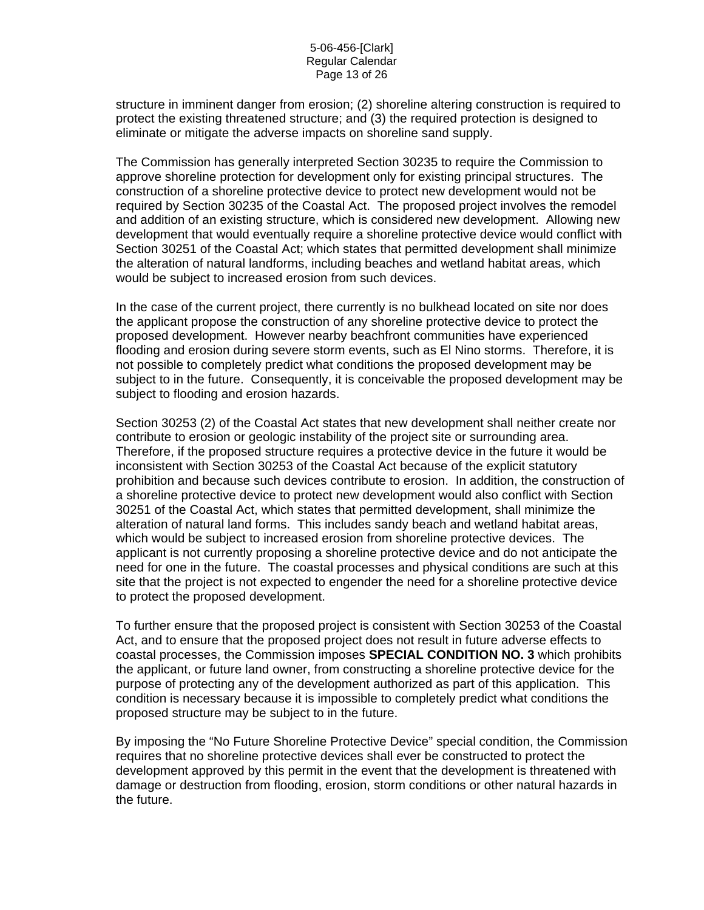structure in imminent danger from erosion; (2) shoreline altering construction is required to protect the existing threatened structure; and (3) the required protection is designed to eliminate or mitigate the adverse impacts on shoreline sand supply.

The Commission has generally interpreted Section 30235 to require the Commission to approve shoreline protection for development only for existing principal structures. The construction of a shoreline protective device to protect new development would not be required by Section 30235 of the Coastal Act. The proposed project involves the remodel and addition of an existing structure, which is considered new development. Allowing new development that would eventually require a shoreline protective device would conflict with Section 30251 of the Coastal Act; which states that permitted development shall minimize the alteration of natural landforms, including beaches and wetland habitat areas, which would be subject to increased erosion from such devices.

In the case of the current project, there currently is no bulkhead located on site nor does the applicant propose the construction of any shoreline protective device to protect the proposed development. However nearby beachfront communities have experienced flooding and erosion during severe storm events, such as El Nino storms. Therefore, it is not possible to completely predict what conditions the proposed development may be subject to in the future. Consequently, it is conceivable the proposed development may be subject to flooding and erosion hazards.

Section 30253 (2) of the Coastal Act states that new development shall neither create nor contribute to erosion or geologic instability of the project site or surrounding area. Therefore, if the proposed structure requires a protective device in the future it would be inconsistent with Section 30253 of the Coastal Act because of the explicit statutory prohibition and because such devices contribute to erosion. In addition, the construction of a shoreline protective device to protect new development would also conflict with Section 30251 of the Coastal Act, which states that permitted development, shall minimize the alteration of natural land forms. This includes sandy beach and wetland habitat areas, which would be subject to increased erosion from shoreline protective devices. The applicant is not currently proposing a shoreline protective device and do not anticipate the need for one in the future. The coastal processes and physical conditions are such at this site that the project is not expected to engender the need for a shoreline protective device to protect the proposed development.

To further ensure that the proposed project is consistent with Section 30253 of the Coastal Act, and to ensure that the proposed project does not result in future adverse effects to coastal processes, the Commission imposes **SPECIAL CONDITION NO. 3** which prohibits the applicant, or future land owner, from constructing a shoreline protective device for the purpose of protecting any of the development authorized as part of this application. This condition is necessary because it is impossible to completely predict what conditions the proposed structure may be subject to in the future.

By imposing the "No Future Shoreline Protective Device" special condition, the Commission requires that no shoreline protective devices shall ever be constructed to protect the development approved by this permit in the event that the development is threatened with damage or destruction from flooding, erosion, storm conditions or other natural hazards in the future.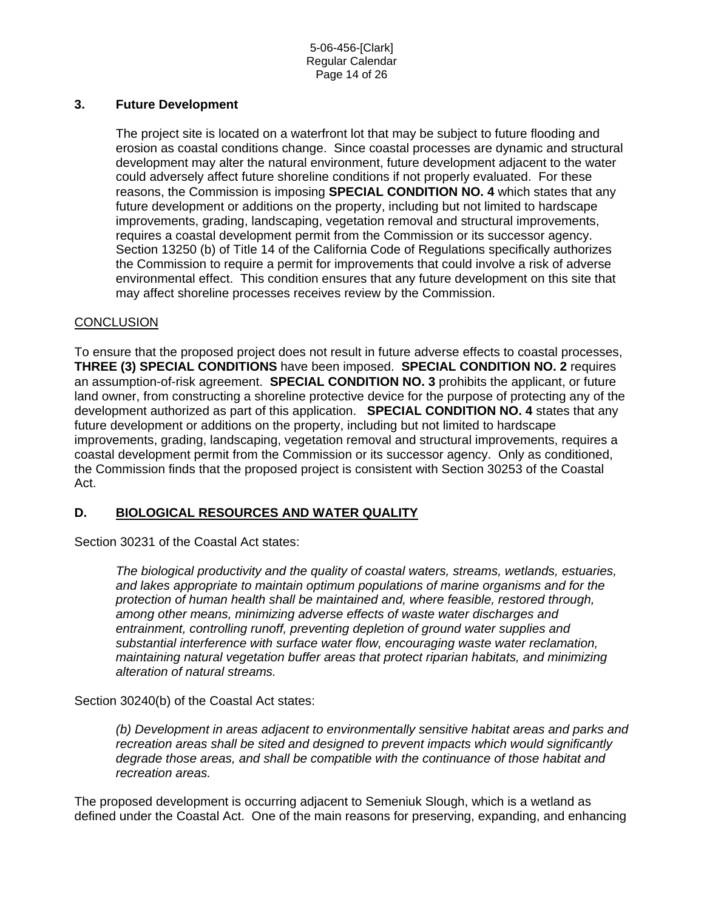5-06-456-[Clark] Regular Calendar Page 14 of 26

## **3. Future Development**

The project site is located on a waterfront lot that may be subject to future flooding and erosion as coastal conditions change. Since coastal processes are dynamic and structural development may alter the natural environment, future development adjacent to the water could adversely affect future shoreline conditions if not properly evaluated. For these reasons, the Commission is imposing **SPECIAL CONDITION NO. 4** which states that any future development or additions on the property, including but not limited to hardscape improvements, grading, landscaping, vegetation removal and structural improvements, requires a coastal development permit from the Commission or its successor agency. Section 13250 (b) of Title 14 of the California Code of Regulations specifically authorizes the Commission to require a permit for improvements that could involve a risk of adverse environmental effect. This condition ensures that any future development on this site that may affect shoreline processes receives review by the Commission.

## **CONCLUSION**

To ensure that the proposed project does not result in future adverse effects to coastal processes, **THREE (3) SPECIAL CONDITIONS** have been imposed. **SPECIAL CONDITION NO. 2** requires an assumption-of-risk agreement. **SPECIAL CONDITION NO. 3** prohibits the applicant, or future land owner, from constructing a shoreline protective device for the purpose of protecting any of the development authorized as part of this application. **SPECIAL CONDITION NO. 4** states that any future development or additions on the property, including but not limited to hardscape improvements, grading, landscaping, vegetation removal and structural improvements, requires a coastal development permit from the Commission or its successor agency. Only as conditioned, the Commission finds that the proposed project is consistent with Section 30253 of the Coastal Act.

## **D. BIOLOGICAL RESOURCES AND WATER QUALITY**

Section 30231 of the Coastal Act states:

*The biological productivity and the quality of coastal waters, streams, wetlands, estuaries, and lakes appropriate to maintain optimum populations of marine organisms and for the protection of human health shall be maintained and, where feasible, restored through, among other means, minimizing adverse effects of waste water discharges and entrainment, controlling runoff, preventing depletion of ground water supplies and substantial interference with surface water flow, encouraging waste water reclamation, maintaining natural vegetation buffer areas that protect riparian habitats, and minimizing alteration of natural streams.* 

### Section 30240(b) of the Coastal Act states:

*(b) Development in areas adjacent to environmentally sensitive habitat areas and parks and recreation areas shall be sited and designed to prevent impacts which would significantly degrade those areas, and shall be compatible with the continuance of those habitat and recreation areas.* 

The proposed development is occurring adjacent to Semeniuk Slough, which is a wetland as defined under the Coastal Act. One of the main reasons for preserving, expanding, and enhancing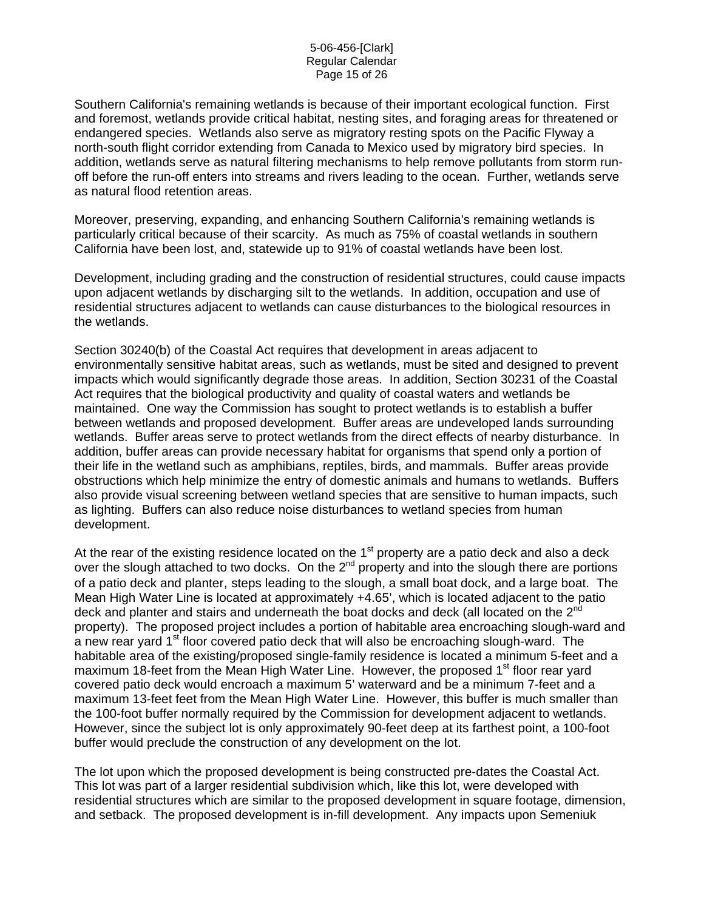#### 5-06-456-[Clark] Regular Calendar Page 15 of 26

Southern California's remaining wetlands is because of their important ecological function. First and foremost, wetlands provide critical habitat, nesting sites, and foraging areas for threatened or endangered species. Wetlands also serve as migratory resting spots on the Pacific Flyway a north-south flight corridor extending from Canada to Mexico used by migratory bird species. In addition, wetlands serve as natural filtering mechanisms to help remove pollutants from storm runoff before the run-off enters into streams and rivers leading to the ocean. Further, wetlands serve as natural flood retention areas.

Moreover, preserving, expanding, and enhancing Southern California's remaining wetlands is particularly critical because of their scarcity. As much as 75% of coastal wetlands in southern California have been lost, and, statewide up to 91% of coastal wetlands have been lost.

Development, including grading and the construction of residential structures, could cause impacts upon adjacent wetlands by discharging silt to the wetlands. In addition, occupation and use of residential structures adjacent to wetlands can cause disturbances to the biological resources in the wetlands.

Section 30240(b) of the Coastal Act requires that development in areas adjacent to environmentally sensitive habitat areas, such as wetlands, must be sited and designed to prevent impacts which would significantly degrade those areas. In addition, Section 30231 of the Coastal Act requires that the biological productivity and quality of coastal waters and wetlands be maintained. One way the Commission has sought to protect wetlands is to establish a buffer between wetlands and proposed development. Buffer areas are undeveloped lands surrounding wetlands. Buffer areas serve to protect wetlands from the direct effects of nearby disturbance. In addition, buffer areas can provide necessary habitat for organisms that spend only a portion of their life in the wetland such as amphibians, reptiles, birds, and mammals. Buffer areas provide obstructions which help minimize the entry of domestic animals and humans to wetlands. Buffers also provide visual screening between wetland species that are sensitive to human impacts, such as lighting. Buffers can also reduce noise disturbances to wetland species from human development.

At the rear of the existing residence located on the  $1<sup>st</sup>$  property are a patio deck and also a deck over the slough attached to two docks. On the 2<sup>nd</sup> property and into the slough there are portions of a patio deck and planter, steps leading to the slough, a small boat dock, and a large boat. The Mean High Water Line is located at approximately +4.65', which is located adjacent to the patio deck and planter and stairs and underneath the boat docks and deck (all located on the 2<sup>nd</sup> property). The proposed project includes a portion of habitable area encroaching slough-ward and a new rear yard 1<sup>st</sup> floor covered patio deck that will also be encroaching slough-ward. The habitable area of the existing/proposed single-family residence is located a minimum 5-feet and a maximum 18-feet from the Mean High Water Line. However, the proposed 1<sup>st</sup> floor rear yard covered patio deck would encroach a maximum 5' waterward and be a minimum 7-feet and a maximum 13-feet feet from the Mean High Water Line. However, this buffer is much smaller than the 100-foot buffer normally required by the Commission for development adjacent to wetlands. However, since the subject lot is only approximately 90-feet deep at its farthest point, a 100-foot buffer would preclude the construction of any development on the lot.

The lot upon which the proposed development is being constructed pre-dates the Coastal Act. This lot was part of a larger residential subdivision which, like this lot, were developed with residential structures which are similar to the proposed development in square footage, dimension, and setback. The proposed development is in-fill development. Any impacts upon Semeniuk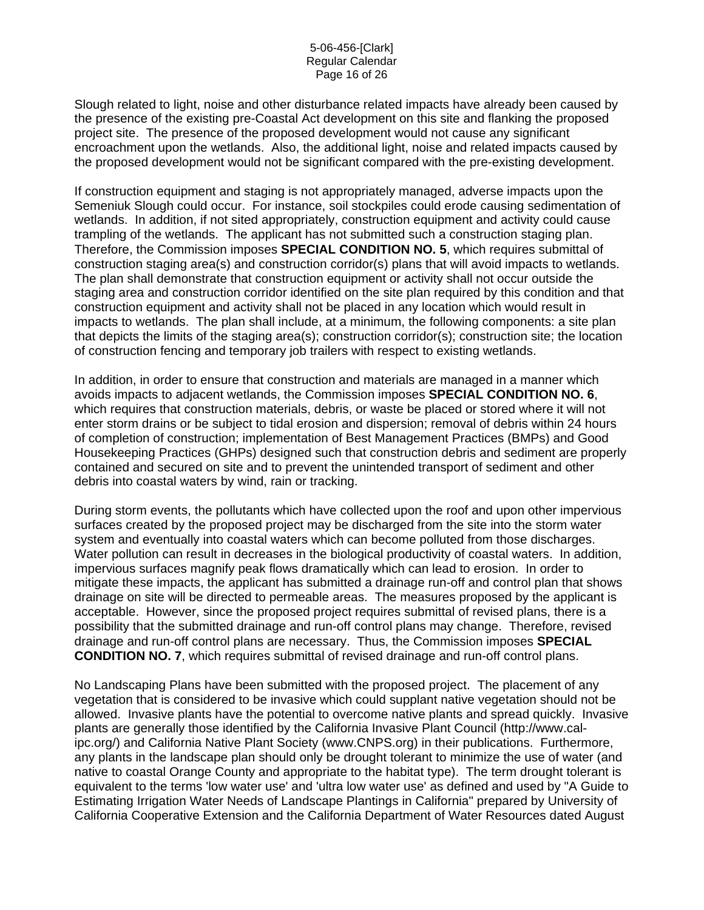Slough related to light, noise and other disturbance related impacts have already been caused by the presence of the existing pre-Coastal Act development on this site and flanking the proposed project site. The presence of the proposed development would not cause any significant encroachment upon the wetlands. Also, the additional light, noise and related impacts caused by the proposed development would not be significant compared with the pre-existing development.

If construction equipment and staging is not appropriately managed, adverse impacts upon the Semeniuk Slough could occur. For instance, soil stockpiles could erode causing sedimentation of wetlands. In addition, if not sited appropriately, construction equipment and activity could cause trampling of the wetlands. The applicant has not submitted such a construction staging plan. Therefore, the Commission imposes **SPECIAL CONDITION NO. 5**, which requires submittal of construction staging area(s) and construction corridor(s) plans that will avoid impacts to wetlands. The plan shall demonstrate that construction equipment or activity shall not occur outside the staging area and construction corridor identified on the site plan required by this condition and that construction equipment and activity shall not be placed in any location which would result in impacts to wetlands. The plan shall include, at a minimum, the following components: a site plan that depicts the limits of the staging area(s); construction corridor(s); construction site; the location of construction fencing and temporary job trailers with respect to existing wetlands.

In addition, in order to ensure that construction and materials are managed in a manner which avoids impacts to adjacent wetlands, the Commission imposes **SPECIAL CONDITION NO. 6**, which requires that construction materials, debris, or waste be placed or stored where it will not enter storm drains or be subject to tidal erosion and dispersion; removal of debris within 24 hours of completion of construction; implementation of Best Management Practices (BMPs) and Good Housekeeping Practices (GHPs) designed such that construction debris and sediment are properly contained and secured on site and to prevent the unintended transport of sediment and other debris into coastal waters by wind, rain or tracking.

During storm events, the pollutants which have collected upon the roof and upon other impervious surfaces created by the proposed project may be discharged from the site into the storm water system and eventually into coastal waters which can become polluted from those discharges. Water pollution can result in decreases in the biological productivity of coastal waters. In addition, impervious surfaces magnify peak flows dramatically which can lead to erosion. In order to mitigate these impacts, the applicant has submitted a drainage run-off and control plan that shows drainage on site will be directed to permeable areas. The measures proposed by the applicant is acceptable. However, since the proposed project requires submittal of revised plans, there is a possibility that the submitted drainage and run-off control plans may change. Therefore, revised drainage and run-off control plans are necessary. Thus, the Commission imposes **SPECIAL CONDITION NO. 7**, which requires submittal of revised drainage and run-off control plans.

No Landscaping Plans have been submitted with the proposed project. The placement of any vegetation that is considered to be invasive which could supplant native vegetation should not be allowed. Invasive plants have the potential to overcome native plants and spread quickly. Invasive plants are generally those identified by the California Invasive Plant Council (http://www.calipc.org/) and California Native Plant Society (www.CNPS.org) in their publications. Furthermore, any plants in the landscape plan should only be drought tolerant to minimize the use of water (and native to coastal Orange County and appropriate to the habitat type). The term drought tolerant is equivalent to the terms 'low water use' and 'ultra low water use' as defined and used by "A Guide to Estimating Irrigation Water Needs of Landscape Plantings in California" prepared by University of California Cooperative Extension and the California Department of Water Resources dated August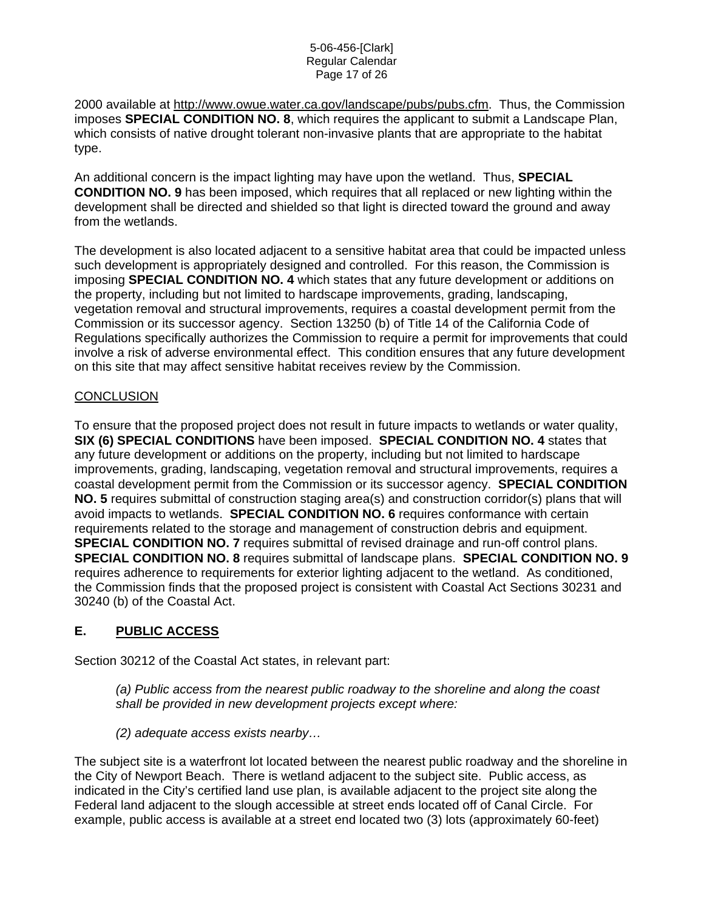#### 5-06-456-[Clark] Regular Calendar Page 17 of 26

2000 available at<http://www.owue.water.ca.gov/landscape/pubs/pubs.cfm>. Thus, the Commission imposes **SPECIAL CONDITION NO. 8**, which requires the applicant to submit a Landscape Plan, which consists of native drought tolerant non-invasive plants that are appropriate to the habitat type.

An additional concern is the impact lighting may have upon the wetland. Thus, **SPECIAL CONDITION NO. 9** has been imposed, which requires that all replaced or new lighting within the development shall be directed and shielded so that light is directed toward the ground and away from the wetlands.

The development is also located adjacent to a sensitive habitat area that could be impacted unless such development is appropriately designed and controlled. For this reason, the Commission is imposing **SPECIAL CONDITION NO. 4** which states that any future development or additions on the property, including but not limited to hardscape improvements, grading, landscaping, vegetation removal and structural improvements, requires a coastal development permit from the Commission or its successor agency. Section 13250 (b) of Title 14 of the California Code of Regulations specifically authorizes the Commission to require a permit for improvements that could involve a risk of adverse environmental effect. This condition ensures that any future development on this site that may affect sensitive habitat receives review by the Commission.

## **CONCLUSION**

To ensure that the proposed project does not result in future impacts to wetlands or water quality, **SIX (6) SPECIAL CONDITIONS** have been imposed. **SPECIAL CONDITION NO. 4** states that any future development or additions on the property, including but not limited to hardscape improvements, grading, landscaping, vegetation removal and structural improvements, requires a coastal development permit from the Commission or its successor agency. **SPECIAL CONDITION NO. 5** requires submittal of construction staging area(s) and construction corridor(s) plans that will avoid impacts to wetlands. **SPECIAL CONDITION NO. 6** requires conformance with certain requirements related to the storage and management of construction debris and equipment. **SPECIAL CONDITION NO. 7** requires submittal of revised drainage and run-off control plans. **SPECIAL CONDITION NO. 8** requires submittal of landscape plans. **SPECIAL CONDITION NO. 9** requires adherence to requirements for exterior lighting adjacent to the wetland. As conditioned, the Commission finds that the proposed project is consistent with Coastal Act Sections 30231 and 30240 (b) of the Coastal Act.

# **E. PUBLIC ACCESS**

Section 30212 of the Coastal Act states, in relevant part:

*(a) Public access from the nearest public roadway to the shoreline and along the coast shall be provided in new development projects except where:* 

*(2) adequate access exists nearby…* 

The subject site is a waterfront lot located between the nearest public roadway and the shoreline in the City of Newport Beach. There is wetland adjacent to the subject site. Public access, as indicated in the City's certified land use plan, is available adjacent to the project site along the Federal land adjacent to the slough accessible at street ends located off of Canal Circle. For example, public access is available at a street end located two (3) lots (approximately 60-feet)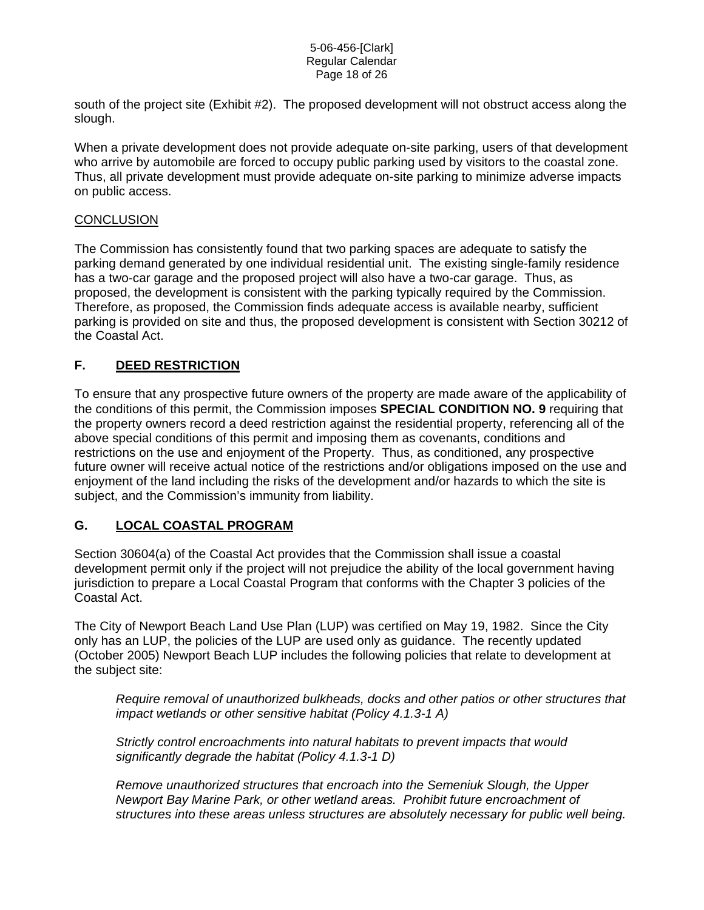#### 5-06-456-[Clark] Regular Calendar Page 18 of 26

south of the project site (Exhibit #2). The proposed development will not obstruct access along the slough.

When a private development does not provide adequate on-site parking, users of that development who arrive by automobile are forced to occupy public parking used by visitors to the coastal zone. Thus, all private development must provide adequate on-site parking to minimize adverse impacts on public access.

## **CONCLUSION**

The Commission has consistently found that two parking spaces are adequate to satisfy the parking demand generated by one individual residential unit. The existing single-family residence has a two-car garage and the proposed project will also have a two-car garage. Thus, as proposed, the development is consistent with the parking typically required by the Commission. Therefore, as proposed, the Commission finds adequate access is available nearby, sufficient parking is provided on site and thus, the proposed development is consistent with Section 30212 of the Coastal Act.

# **F. DEED RESTRICTION**

To ensure that any prospective future owners of the property are made aware of the applicability of the conditions of this permit, the Commission imposes **SPECIAL CONDITION NO. 9** requiring that the property owners record a deed restriction against the residential property, referencing all of the above special conditions of this permit and imposing them as covenants, conditions and restrictions on the use and enjoyment of the Property. Thus, as conditioned, any prospective future owner will receive actual notice of the restrictions and/or obligations imposed on the use and enjoyment of the land including the risks of the development and/or hazards to which the site is subject, and the Commission's immunity from liability.

## **G. LOCAL COASTAL PROGRAM**

Section 30604(a) of the Coastal Act provides that the Commission shall issue a coastal development permit only if the project will not prejudice the ability of the local government having jurisdiction to prepare a Local Coastal Program that conforms with the Chapter 3 policies of the Coastal Act.

The City of Newport Beach Land Use Plan (LUP) was certified on May 19, 1982. Since the City only has an LUP, the policies of the LUP are used only as guidance. The recently updated (October 2005) Newport Beach LUP includes the following policies that relate to development at the subject site:

*Require removal of unauthorized bulkheads, docks and other patios or other structures that impact wetlands or other sensitive habitat (Policy 4.1.3-1 A)* 

*Strictly control encroachments into natural habitats to prevent impacts that would significantly degrade the habitat (Policy 4.1.3-1 D)* 

*Remove unauthorized structures that encroach into the Semeniuk Slough, the Upper Newport Bay Marine Park, or other wetland areas. Prohibit future encroachment of structures into these areas unless structures are absolutely necessary for public well being.*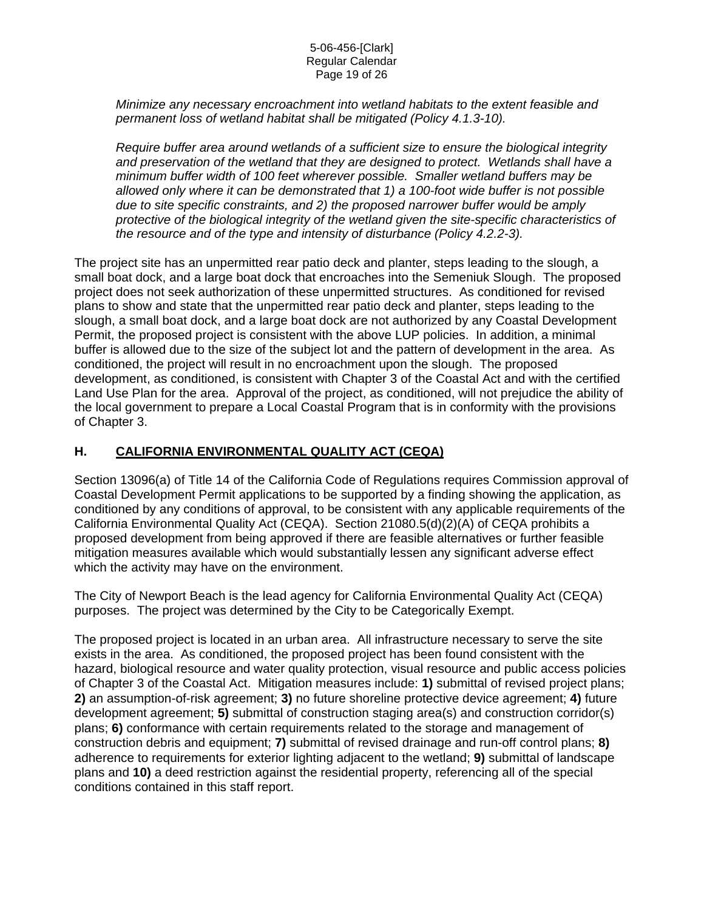#### 5-06-456-[Clark] Regular Calendar Page 19 of 26

*Minimize any necessary encroachment into wetland habitats to the extent feasible and permanent loss of wetland habitat shall be mitigated (Policy 4.1.3-10).* 

*Require buffer area around wetlands of a sufficient size to ensure the biological integrity and preservation of the wetland that they are designed to protect. Wetlands shall have a minimum buffer width of 100 feet wherever possible. Smaller wetland buffers may be allowed only where it can be demonstrated that 1) a 100-foot wide buffer is not possible due to site specific constraints, and 2) the proposed narrower buffer would be amply protective of the biological integrity of the wetland given the site-specific characteristics of the resource and of the type and intensity of disturbance (Policy 4.2.2-3).* 

The project site has an unpermitted rear patio deck and planter, steps leading to the slough, a small boat dock, and a large boat dock that encroaches into the Semeniuk Slough. The proposed project does not seek authorization of these unpermitted structures. As conditioned for revised plans to show and state that the unpermitted rear patio deck and planter, steps leading to the slough, a small boat dock, and a large boat dock are not authorized by any Coastal Development Permit, the proposed project is consistent with the above LUP policies. In addition, a minimal buffer is allowed due to the size of the subject lot and the pattern of development in the area. As conditioned, the project will result in no encroachment upon the slough. The proposed development, as conditioned, is consistent with Chapter 3 of the Coastal Act and with the certified Land Use Plan for the area. Approval of the project, as conditioned, will not prejudice the ability of the local government to prepare a Local Coastal Program that is in conformity with the provisions of Chapter 3.

# **H. CALIFORNIA ENVIRONMENTAL QUALITY ACT (CEQA)**

Section 13096(a) of Title 14 of the California Code of Regulations requires Commission approval of Coastal Development Permit applications to be supported by a finding showing the application, as conditioned by any conditions of approval, to be consistent with any applicable requirements of the California Environmental Quality Act (CEQA). Section 21080.5(d)(2)(A) of CEQA prohibits a proposed development from being approved if there are feasible alternatives or further feasible mitigation measures available which would substantially lessen any significant adverse effect which the activity may have on the environment.

The City of Newport Beach is the lead agency for California Environmental Quality Act (CEQA) purposes. The project was determined by the City to be Categorically Exempt.

The proposed project is located in an urban area. All infrastructure necessary to serve the site exists in the area. As conditioned, the proposed project has been found consistent with the hazard, biological resource and water quality protection, visual resource and public access policies of Chapter 3 of the Coastal Act. Mitigation measures include: **1)** submittal of revised project plans; **2)** an assumption-of-risk agreement; **3)** no future shoreline protective device agreement; **4)** future development agreement; **5)** submittal of construction staging area(s) and construction corridor(s) plans; **6)** conformance with certain requirements related to the storage and management of construction debris and equipment; **7)** submittal of revised drainage and run-off control plans; **8)** adherence to requirements for exterior lighting adjacent to the wetland; **9)** submittal of landscape plans and **10)** a deed restriction against the residential property, referencing all of the special conditions contained in this staff report.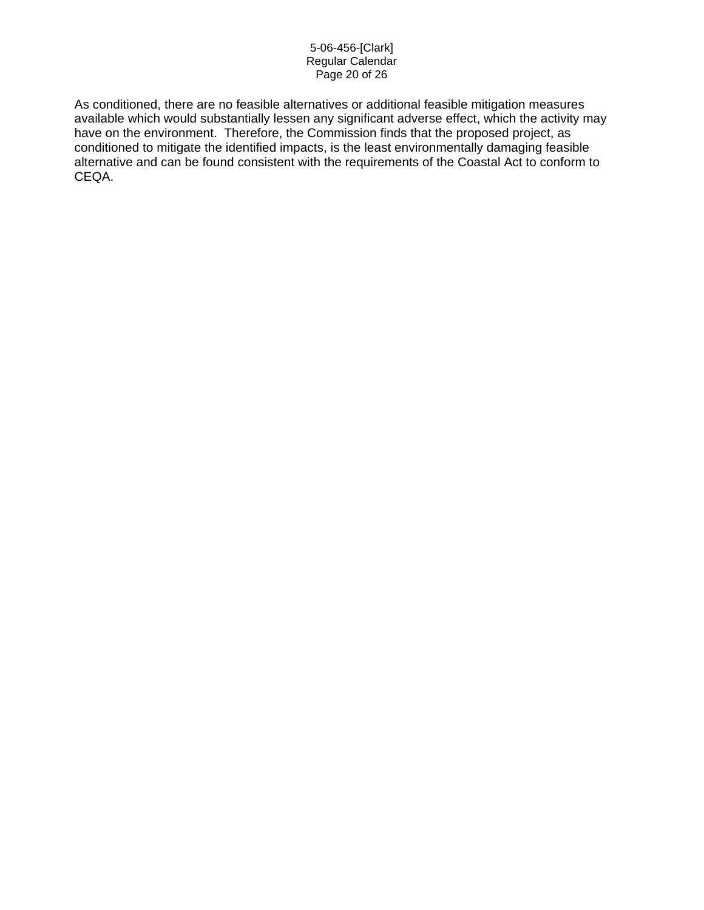#### 5-06-456-[Clark] Regular Calendar Page 20 of 26

As conditioned, there are no feasible alternatives or additional feasible mitigation measures available which would substantially lessen any significant adverse effect, which the activity may have on the environment. Therefore, the Commission finds that the proposed project, as conditioned to mitigate the identified impacts, is the least environmentally damaging feasible alternative and can be found consistent with the requirements of the Coastal Act to conform to CEQA.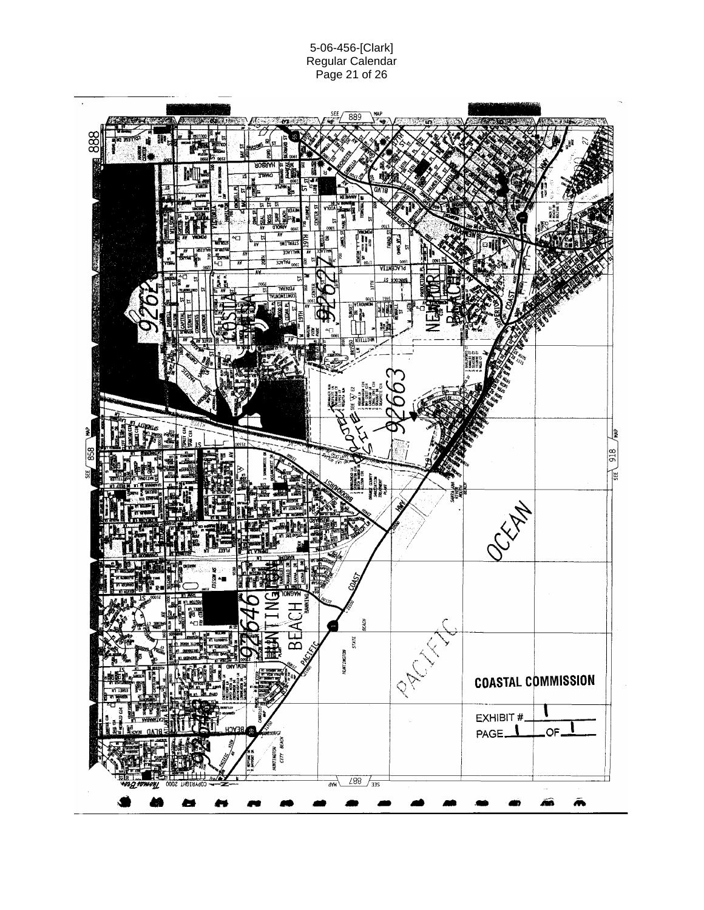#### 5-06-456-[Clark] Regular Calendar Page 21 of 26

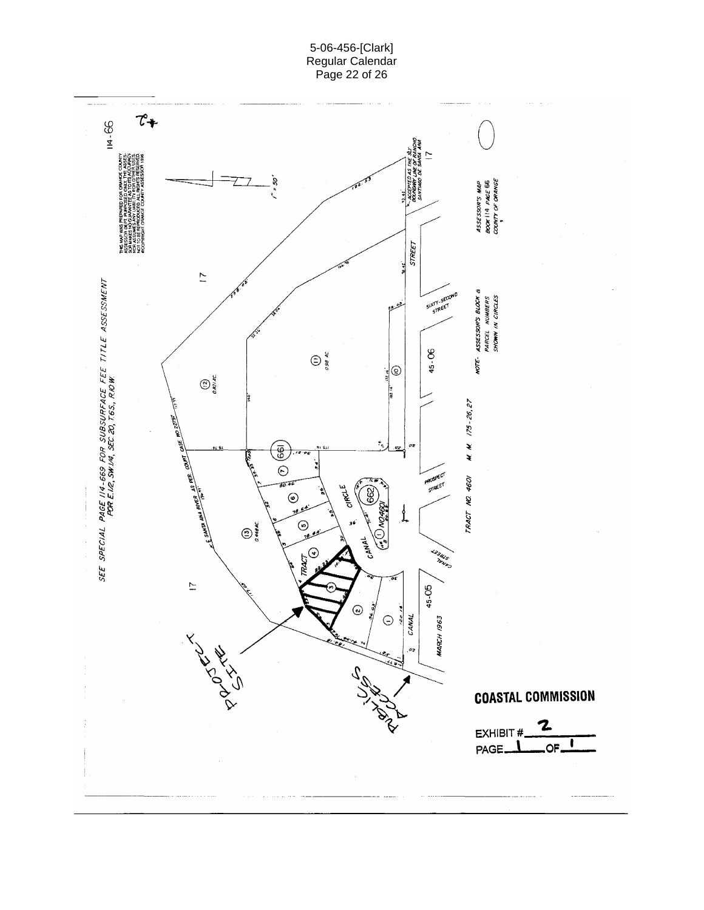5-06-456-[Clark] Regular Calendar Page 22 of 26

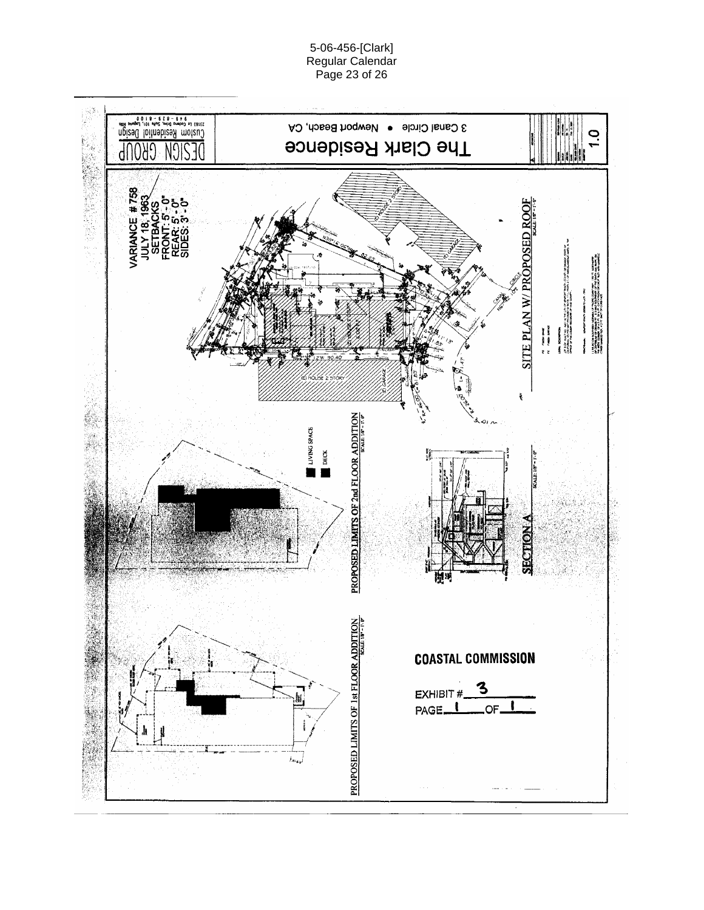3 Canal Circle · Newport Beach, CA  $\overline{1}$ .0 The Clark Residence NĴI 0XV  $d\Omega$ **VARIANCE #758**<br>JULY 18, 1963<br>SETBACKS<br>FRONT: 5'-0"<br>FEAR: 5'-0"<br>REAR: 5'-0" SITE PLAN W/PROPOSED ROOF בות המשפחה של המשפח היה המשפחה של המשפחה של המשפחה של המשפחה של המשפחה של המשפחה המשפחה של המשפחה של המשפחה של<br>האופי המשפחה המשפחה המשפחה המשפחה המשפחה המשפחה המשפחה המשפחה המשפחה המשפחה המשפחה המשפחה המשפחה המשפחה המשפחה L FAS del DIR SODERIN SOMMALS IN THOME COMPTANT. 192 P. NORTHWEST<br>OF DIRECTOR OF DRAGE 31, D.3 MILES DURANCE OF THE SAMPA AND WINTER ON<br>COMPTANT OF DRAGE 31, D.3 MILES DURANCE OF THE BANK AND WINTER MANDET DOCT BROEST LAT **THE PERSON REPORT**  $\overline{\phantom{a}}$ J k. **18.81 19.92** ł, **CALLADY** PROPOSED LIMITS OF 2nd FLOOR ADDITION LIVING SPACE DECK ۰ œ SECTION 图》<br>图 PROPOSED LIMITS OF 1st HOODS ADDITION **COASTAL COMMISSION** З EXHIBIT # PAGE<sup>1</sup> OF.  $t_{\rm exp}$ 

5-06-456-[Clark] Regular Calendar Page 23 of 26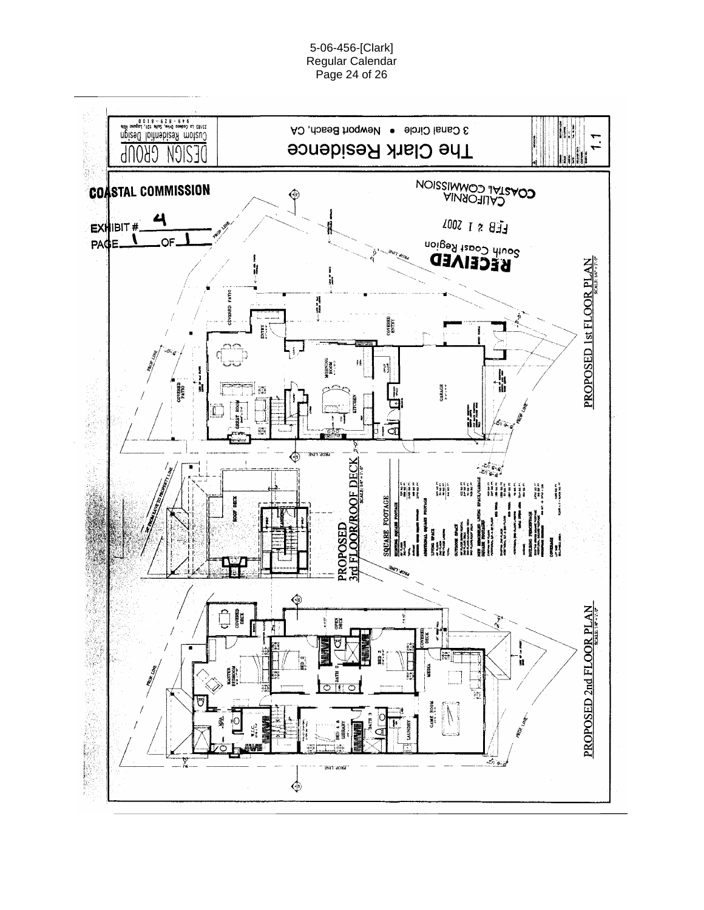5-06-456-[Clark] Regular Calendar Page 24 of 26

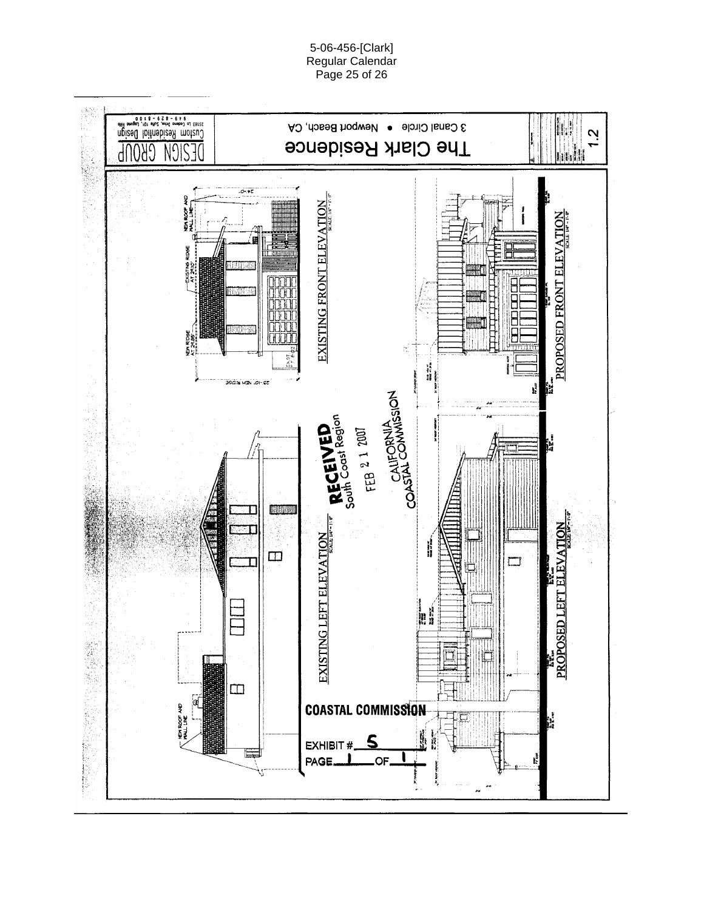

5-06-456-[Clark] Regular Calendar Page 25 of 26